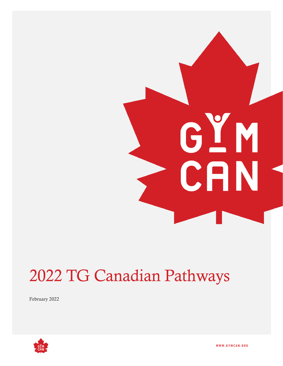# GYM CAN

# 2022 TG Canadian Pathways

February 2022



**W W W . G Y M C A N . O R G**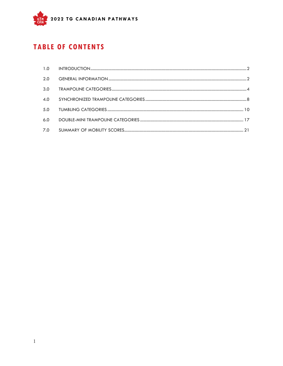

# **TABLE OF CONTENTS**

<span id="page-1-0"></span>

| 2.0 |  |
|-----|--|
| 3.0 |  |
| 4.0 |  |
| 5.0 |  |
| 6.0 |  |
| 7.0 |  |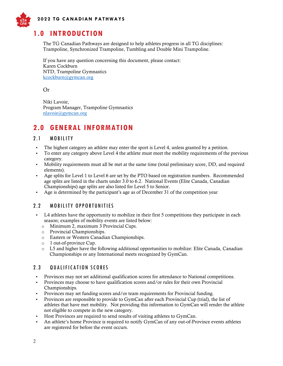

## **1.0 INTRODUCTION**

The TG Canadian Pathways are designed to help athletes progress in all TG disciplines: Trampoline, Synchronized Trampoline, Tumbling and Double Mini Trampoline.

If you have any question concerning this document, please contact: Karen Cockburn NTD, Trampoline Gymnastics [kcockburn@gymcan.org](mailto:kcockburn@gymcan.org)

Or

Niki Lavoie, Program Manager, Trampoline Gymnastics [nlavoie@gymcan.org](mailto:nlavoie@gymcan.org)

#### <span id="page-2-0"></span>**2.0 GENERAL INFORMATION**

#### 2.1 MOBILITY

- The highest category an athlete may enter the sport is Level 4, unless granted by a petition.
- To enter any category above Level 4 the athlete must meet the mobility requirements of the previous category.
- Mobility requirements must all be met at the same time (total preliminary score, DD, and required elements).
- Age splits for Level 1 to Level 6 are set by the PTO based on registration numbers. Recommended age splits are listed in the charts under 3.0 to 6.2. National Events (Elite Canada, Canadian Championships) age splits are also listed for Level 5 to Senior.
- Age is determined by the participant's age as of December 31 of the competition year

#### 2.2 MOBILITY OPPORTUNITIES

- L4 athletes have the opportunity to mobilize in their first 5 competitions they participate in each season; examples of mobility events are listed below:
	- o Minimum 2, maximum 3 Provincial Cups.
	- o Provincial Championships.
	- o Eastern or Western Canadian Championships.
	- o 1 out-of-province Cup.
	- $\circ$  L5 and higher have the following additional opportunities to mobilize: Elite Canada, Canadian Championships or any International meets recognized by GymCan.

#### 2.3 **QUALIFICATION SCORES**

- Provinces may not set additional qualification scores for attendance to National competitions.
- Provinces may choose to have qualification scores and/or rules for their own Provincial Championships.
- Provinces may set funding scores and/or team requirements for Provincial funding.
- Provinces are responsible to provide to GymCan after each Provincial Cup (trial), the list of athletes that have met mobility. Not providing this information to GymCan will render the athlete not eligible to compete in the new category.
- Host Provinces are required to send results of visiting athletes to GymCan.
- An athlete's home Province is required to notify GymCan of any out-of-Province events athletes are registered for before the event occurs.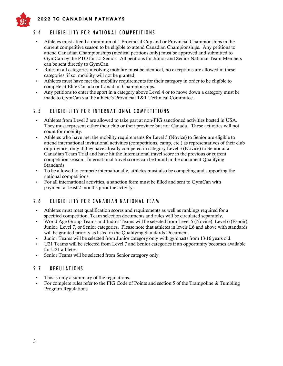

 **202 2 T G C A N A D I A N P A T H W A Y S**

#### 2.4 ELIGIBILITY FOR NATIONAL COMPETITIONS

- Athletes must attend a minimum of 1 Provincial Cup and or Provincial Championships in the current competitive season to be eligible to attend Canadian Championships. Any petitions to attend Canadian Championships (medical petitions only) must be approved and submitted to GymCan by the PTO for L5-Senior. All petitions for Junior and Senior National Team Members can be sent directly to GymCan.
- Rules in all categories involving mobility must be identical, no exceptions are allowed in these categories, if so, mobility will not be granted.
- Athletes must have met the mobility requirements for their category in order to be eligible to compete at Elite Canada or Canadian Championships.
- Any petitions to enter the sport in a category above Level 4 or to move down a category must be made to GymCan via the athlete's Provincial T&T Technical Committee.

#### 2.5 ELIGIBILITY FOR INTERNATIONAL COMPETITIONS

- Athletes from Level 3 are allowed to take part at non-FIG sanctioned activities hosted in USA. They must represent either their club or their province but not Canada. These activities will not count for mobility.
- Athletes who have met the mobility requirements for Level 5 (Novice) to Senior are eligible to attend international invitational activities (competitions, camp, etc.) as representatives of their club or province, only if they have already competed in category Level 5 (Novice) to Senior at a Canadian Team Trial and have hit the International travel score in the previous or current competition season. International travel scores can be found in the document Qualifying Standards.
- To be allowed to compete internationally, athletes must also be competing and supporting the national competitions.
- For all international activities, a sanction form must be filled and sent to GymCan with payment at least 2 months prior the activity.

#### 2.6 ELIGIBILITY FOR CANADIAN NATIONAL TEAM

- Athletes must meet qualification scores and requirements as well as rankings required for a specified competition. Team selection documents and rules will be circulated separately.
- World Age Group Teams and Indo's Teams will be selected from Level 5 (Novice), Level 6 (Espoir), Junior, Level 7, or Senior categories. Please note that athletes in levels L6 and above with standards will be granted priority as listed in the Qualifying Standards Document.
- Junior Teams will be selected from Junior category only with gymnasts from 13-16 years old.
- U21 Teams will be selected from Level 7 and Senior categories if an opportunity becomes available for U21 athletes.
- Senior Teams will be selected from Senior category only.

#### 2.7 REGULATIONS

- This is only a summary of the regulations.
- For complete rules refer to the FIG Code of Points and section 5 of the Trampoline & Tumbling Program Regulations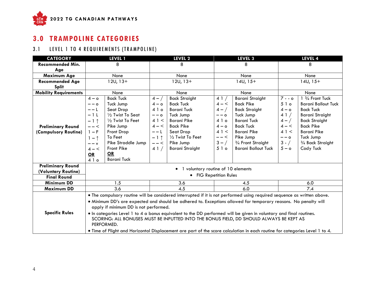

# **3.0 TRAMPOLINE CATEGORIES**

# 3.1 LEVEL 1 TO 4 REQUIREMENTS (TRAMPOLINE)

<span id="page-4-0"></span>

| <b>CATEGORY</b>              | LEVEL 1                |                                       |         | LEVEL 2                              |         | LEVEL 3                                                                                                                     |         | LEVEL 4                    |  |
|------------------------------|------------------------|---------------------------------------|---------|--------------------------------------|---------|-----------------------------------------------------------------------------------------------------------------------------|---------|----------------------------|--|
| <b>Recommended Min.</b>      | 8                      |                                       |         | 8                                    |         | 8                                                                                                                           |         | 8                          |  |
| Age                          |                        |                                       |         |                                      |         |                                                                                                                             |         |                            |  |
| Maximum Age                  |                        | None                                  |         | None                                 |         | None                                                                                                                        |         | None                       |  |
| <b>Recommended Age</b>       |                        | $12U, 13+$                            |         | $12U, 13+$                           |         | $14U, 15+$                                                                                                                  |         | $14U, 15+$                 |  |
| <b>Split</b>                 |                        |                                       |         |                                      |         |                                                                                                                             |         |                            |  |
| <b>Mobility Requirements</b> |                        | None                                  |         | None                                 |         | None                                                                                                                        |         | None                       |  |
|                              | $4 - 0$                | <b>Back Tuck</b>                      | $4 - /$ | <b>Back Straight</b>                 | 41/     | <b>Barani Straight</b>                                                                                                      | $7 - 0$ | 1 3/4 Front Tuck           |  |
|                              | $- - 0$                | Tuck Jump                             | $4 - 0$ | <b>Back Tuck</b>                     | $4 - <$ | <b>Back Pike</b>                                                                                                            | 510     | <b>Barani Ballout Tuck</b> |  |
|                              | $- - 1$                | Seat Drop                             | 4 1 o   | <b>Barani Tuck</b>                   | $4 - /$ | <b>Back Straight</b>                                                                                                        | $4 - o$ | <b>Back Tuck</b>           |  |
|                              | $-1L$                  | 1/2 Twist To Seat                     | $- - 0$ | Tuck Jump                            | $- - 0$ | Tuck Jump                                                                                                                   | 41/     | <b>Barani Straight</b>     |  |
|                              | $-1$ ↑                 | 1/2 Twist To Feet                     | 41 <    | <b>Barani Pike</b>                   | 4 1 o   | <b>Barani Tuck</b>                                                                                                          | $4 - /$ | <b>Back Straight</b>       |  |
| <b>Preliminary Round</b>     | $--<$                  | Pike Jump                             | $4 - <$ | <b>Back Pike</b>                     | $4 - o$ | <b>Back Tuck</b>                                                                                                            | $4 - <$ | <b>Back Pike</b>           |  |
| (Compulsory Routine)         | $1-F$                  | Front Drop                            | $- - 1$ | Seat Drop                            | 41 <    | Barani Pike                                                                                                                 | 41<     | <b>Barani Pike</b>         |  |
|                              | $1 - \uparrow$         | To Feet                               | $-1$ ↑  | 1/2 Twist To Feet                    | $---<$  | Pike Jump                                                                                                                   | $- - 0$ | Tuck Jump                  |  |
|                              | $- - v$                | Pike Straddle Jump                    | $--<$   | Pike Jump                            | $3 - /$ | 3/4 Front Straight                                                                                                          | $3 - /$ | 3/4 Back Straight          |  |
|                              | $4 - <$                | Front Pike                            | 41/     | <b>Barani Straight</b>               | 510     | <b>Barani Ballout Tuck</b>                                                                                                  | $5 - o$ | Cody Tuck                  |  |
|                              | $\overline{\text{OR}}$ | OR                                    |         |                                      |         |                                                                                                                             |         |                            |  |
|                              | 410                    | <b>Barani Tuck</b>                    |         |                                      |         |                                                                                                                             |         |                            |  |
| <b>Preliminary Round</b>     |                        |                                       |         |                                      |         |                                                                                                                             |         |                            |  |
| (Voluntary Routine)          |                        |                                       |         | • 1 voluntary routine of 10 elements |         |                                                                                                                             |         |                            |  |
| <b>Final Round</b>           |                        |                                       |         | • FIG Repetition Rules               |         |                                                                                                                             |         |                            |  |
| <b>Minimum DD</b>            |                        | 1.5                                   |         | 3.6                                  |         | 4.5                                                                                                                         |         | 6.0                        |  |
| <b>Maximum DD</b>            | 3.6                    |                                       |         | 4.5<br>6.0                           |         |                                                                                                                             |         | 7.4                        |  |
|                              |                        |                                       |         |                                      |         | . The compulsory routine will be considered interrupted if it is not performed using required sequence as written above.    |         |                            |  |
|                              |                        |                                       |         |                                      |         | . Minimum DD's are expected and should be adhered to. Exceptions allowed for temporary reasons. No penalty will             |         |                            |  |
|                              |                        | apply if minimum DD is not performed. |         |                                      |         |                                                                                                                             |         |                            |  |
| <b>Specific Rules</b>        |                        |                                       |         |                                      |         | • In categories Level 1 to 4 a bonus equivalent to the DD performed will be given in voluntary and final routines.          |         |                            |  |
|                              |                        |                                       |         |                                      |         | SCORING: ALL BONUSES MUST BE INPUTTED INTO THE BONUS FIELD, DD SHOULD ALWAYS BE KEPT AS                                     |         |                            |  |
|                              |                        | PERFORMED.                            |         |                                      |         |                                                                                                                             |         |                            |  |
|                              |                        |                                       |         |                                      |         | • Time of Flight and Horizontal Displacement are part of the score calculation in each routine for categories Level 1 to 4. |         |                            |  |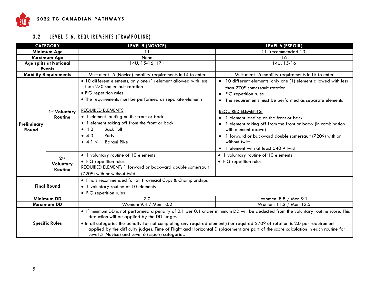

# 3.2 LEVEL 5-6, REQUIREMENTS (TRAMPOLINE)

| <b>CATEGORY</b>       |                                                | <b>LEVEL 5 (NOVICE)</b><br>LEVEL 6 (ESPOIR)                                                                                                                                                                                                                                                                                                                                                                                                                                                                    |                                                                                                                                                                                                                                                                                                                                                                                                                                                                                                      |  |
|-----------------------|------------------------------------------------|----------------------------------------------------------------------------------------------------------------------------------------------------------------------------------------------------------------------------------------------------------------------------------------------------------------------------------------------------------------------------------------------------------------------------------------------------------------------------------------------------------------|------------------------------------------------------------------------------------------------------------------------------------------------------------------------------------------------------------------------------------------------------------------------------------------------------------------------------------------------------------------------------------------------------------------------------------------------------------------------------------------------------|--|
|                       | Minimum Age                                    | 11                                                                                                                                                                                                                                                                                                                                                                                                                                                                                                             | 11 (recommended 13)                                                                                                                                                                                                                                                                                                                                                                                                                                                                                  |  |
|                       | <b>Maximum Age</b>                             | None                                                                                                                                                                                                                                                                                                                                                                                                                                                                                                           | 16                                                                                                                                                                                                                                                                                                                                                                                                                                                                                                   |  |
|                       | Age splits at National                         | 14U, 15-16, 17+                                                                                                                                                                                                                                                                                                                                                                                                                                                                                                | 14U, 15-16                                                                                                                                                                                                                                                                                                                                                                                                                                                                                           |  |
|                       | <b>Events</b>                                  |                                                                                                                                                                                                                                                                                                                                                                                                                                                                                                                |                                                                                                                                                                                                                                                                                                                                                                                                                                                                                                      |  |
|                       | <b>Mobility Requirements</b>                   | Must meet L5 (Novice) mobility requirements in L4 to enter                                                                                                                                                                                                                                                                                                                                                                                                                                                     | Must meet L6 mobility requirements in L5 to enter                                                                                                                                                                                                                                                                                                                                                                                                                                                    |  |
| Preliminary<br>Round  | 1 <sup>st</sup> Voluntary<br><b>Routine</b>    | • 10 different elements, only one (1) element allowed with less<br>than 270 somersault rotation<br>• FIG repetition rules<br>• The requirements must be performed as separate elements<br><b>REQUIRED ELEMENTS</b><br>• 1 element landing on the front or back<br>• 1 element taking off from the front or back<br><b>Back Full</b><br>$\bullet$ 42<br>$\bullet$ 43<br>Rudy<br>$\bullet$ 4 1 $\lt$<br><b>Barani Pike</b>                                                                                       | • 10 different elements, only one (1) element allowed with less<br>than 270° somersault rotation.<br>• FIG repetition rules<br>The requirements must be performed as separate elements<br>$\bullet$<br><b>REQUIRED ELEMENTS:</b><br>1 element landing on the front or back<br>1 element taking off from the front or back- (in combination<br>$\bullet$<br>with element above)<br>• 1 forward or backward double somersault (7200) with or<br>without twist<br>• 1 element with at least 540 ° twist |  |
|                       | 2 <sub>nd</sub><br>Voluntary<br><b>Routine</b> | • 1 voluntary routine of 10 elements<br>• FIG repetition rules<br>REQUIRED ELEMENT: 1 forward or backward double somersault<br>(720°) with or without twist                                                                                                                                                                                                                                                                                                                                                    | • 1 voluntary routine of 10 elements<br>• FIG repetition rules                                                                                                                                                                                                                                                                                                                                                                                                                                       |  |
| <b>Final Round</b>    |                                                | • Finals recommended for all Provincial Cups & Championships<br>• 1 voluntary routine of 10 elements<br>• FIG repetition rules                                                                                                                                                                                                                                                                                                                                                                                 |                                                                                                                                                                                                                                                                                                                                                                                                                                                                                                      |  |
| <b>Minimum DD</b>     |                                                | 7.0                                                                                                                                                                                                                                                                                                                                                                                                                                                                                                            | Women: 8.8 / Men 9.1                                                                                                                                                                                                                                                                                                                                                                                                                                                                                 |  |
| <b>Maximum DD</b>     |                                                | Women: 9.4 / Men 10.2                                                                                                                                                                                                                                                                                                                                                                                                                                                                                          | Women: 11.2 / Men 13.5                                                                                                                                                                                                                                                                                                                                                                                                                                                                               |  |
| <b>Specific Rules</b> |                                                | . If minimum DD is not performed a penalty of 0.1 per 0.1 under minimum DD will be deducted from the voluntary routine score. This<br>deduction will be applied by the DD judges.<br>• In all categories the penalty for not completing any required element(s) or required 270° of rotation is 2.0 per requirement<br>applied by the difficulty judges. Time of Flight and Horizontal Displacement are part of the score calculation in each routine for<br>Level 5 (Novice) and Level 6 (Espoir) categories. |                                                                                                                                                                                                                                                                                                                                                                                                                                                                                                      |  |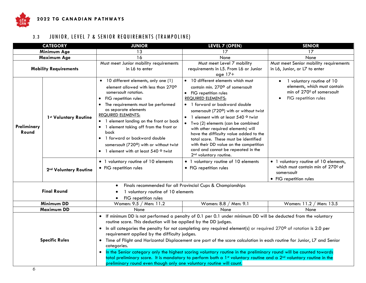

# 3.3 JUNIOR, LEVEL 7 & SENIOR REQUIREMENTS (TRAMPOLINE)

| <b>CATEGORY</b>                               |                                   | <b>JUNIOR</b>                                                                                                                                                                                                                                                                                                                                                                                                                                                           | <b>LEVEL 7 (OPEN)</b>                                                                                                                                                                                                                                                                                                                                                                                                                                                                                                                                                                                                   | <b>SENIOR</b>                                                                                                               |
|-----------------------------------------------|-----------------------------------|-------------------------------------------------------------------------------------------------------------------------------------------------------------------------------------------------------------------------------------------------------------------------------------------------------------------------------------------------------------------------------------------------------------------------------------------------------------------------|-------------------------------------------------------------------------------------------------------------------------------------------------------------------------------------------------------------------------------------------------------------------------------------------------------------------------------------------------------------------------------------------------------------------------------------------------------------------------------------------------------------------------------------------------------------------------------------------------------------------------|-----------------------------------------------------------------------------------------------------------------------------|
|                                               | Minimum Age                       | 13                                                                                                                                                                                                                                                                                                                                                                                                                                                                      | 17                                                                                                                                                                                                                                                                                                                                                                                                                                                                                                                                                                                                                      | 17                                                                                                                          |
| Maximum Age                                   |                                   | 16                                                                                                                                                                                                                                                                                                                                                                                                                                                                      | None                                                                                                                                                                                                                                                                                                                                                                                                                                                                                                                                                                                                                    | None                                                                                                                        |
| <b>Mobility Requirements</b>                  |                                   | Must meet Junior mobility requirements<br>in L6 to enter                                                                                                                                                                                                                                                                                                                                                                                                                | Must meet Level 7 mobility<br>requirements in L5. From L6 or Junior<br>age $17+$                                                                                                                                                                                                                                                                                                                                                                                                                                                                                                                                        | Must meet Senior mobility requirements<br>in L6, Junior, or L7 to enter                                                     |
| 1st Voluntary Routine<br>Preliminary<br>Round |                                   | • 10 different elements, only one (1)<br>element allowed with less than 270°<br>somersault rotation.<br>FIG repetition rules<br>$\bullet$<br>The requirements must be performed<br>$\bullet$<br>as separate elements<br><b>REQUIRED ELEMENTS:</b><br>• 1 element landing on the front or back<br>• 1 element taking off from the front or<br>back<br>• 1 forward or backward double<br>somersault (720°) with or without twist<br>• 1 element with at least 540 ° twist | • 10 different elements which must<br>contain min. 270° of somersault<br>• FIG repetition rules<br><b>REQUIRED ELEMENTS:</b><br>• 1 forward or backward double<br>somersault (720°) with or without twist<br>1 element with at least 540 ° twist<br>• Two (2) elements (can be combined<br>with other required elements) will<br>have the difficulty value added to the<br>total score. These must be identified<br>with their DD value on the competition<br>card and cannot be repeated in the<br>2 <sup>nd</sup> voluntary routine.                                                                                  | 1 voluntary routine of 10<br>$\bullet$<br>elements, which must contain<br>min of 270° of somersault<br>FIG repetition rules |
|                                               | 2 <sup>nd</sup> Voluntary Routine | • 1 voluntary routine of 10 elements<br>• FIG repetition rules                                                                                                                                                                                                                                                                                                                                                                                                          | • 1 voluntary routine of 10 elements<br>• FIG repetition rules                                                                                                                                                                                                                                                                                                                                                                                                                                                                                                                                                          | • 1 voluntary routine of 10 elements,<br>which must contain min of 270° of<br>somersault<br>• FIG repetition rules          |
|                                               |                                   | $\bullet$                                                                                                                                                                                                                                                                                                                                                                                                                                                               | Finals recommended for all Provincial Cups & Championships                                                                                                                                                                                                                                                                                                                                                                                                                                                                                                                                                              |                                                                                                                             |
|                                               | <b>Final Round</b>                | 1 voluntary routine of 10 elements<br>FIG repetition rules                                                                                                                                                                                                                                                                                                                                                                                                              |                                                                                                                                                                                                                                                                                                                                                                                                                                                                                                                                                                                                                         |                                                                                                                             |
|                                               | <b>Minimum DD</b>                 | Women: 9.5 / Men: 11.2                                                                                                                                                                                                                                                                                                                                                                                                                                                  | Women: 8.8 / Men: 9.1                                                                                                                                                                                                                                                                                                                                                                                                                                                                                                                                                                                                   | Women: 11.2 / Men: 13.5                                                                                                     |
|                                               | Maximum DD                        | None                                                                                                                                                                                                                                                                                                                                                                                                                                                                    | None                                                                                                                                                                                                                                                                                                                                                                                                                                                                                                                                                                                                                    | None                                                                                                                        |
| <b>Specific Rules</b>                         |                                   | routine score. This deduction will be applied by the DD judges.<br>requirement applied by the difficulty judges.<br>categories.<br>preliminary round even though only one voluntary routine will count.                                                                                                                                                                                                                                                                 | • If minimum DD is not performed a penalty of 0.1 per 0.1 under minimum DD will be deducted from the voluntary<br>• In all categories the penalty for not completing any required element(s) or required 270° of rotation is 2.0 per<br>Time of Flight and Horizontal Displacement are part of the score calculation in each routine for Junior, L7 and Senior<br>In the Senior category only the highest scoring voluntary routine in the preliminary round will be counted towards<br>total preliminary score. It is mandatory to perform both a 1st voluntary routine and a 2 <sup>nd</sup> voluntary routine in the |                                                                                                                             |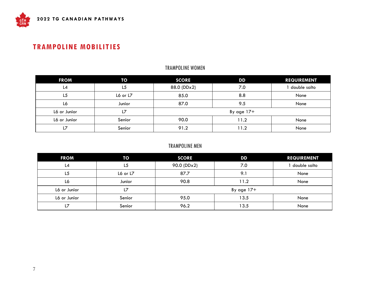## **TRAMPOLINE MOBILITIES**

#### TRAMPOLINE WOMEN

| <b>FROM</b>  | TO             | <b>SCORE</b> | DD           | <b>REQUIREMENT</b> |
|--------------|----------------|--------------|--------------|--------------------|
| L4           | L <sub>5</sub> | 88.0 (DDx2)  | 7.0          | double salto       |
| L5           | L6 or L7       | 85.0         | 8.8          | None               |
| L6           | Junior         | 87.0         | 9.5          | None               |
| L6 or Junior | L7             |              | By age $17+$ |                    |
| L6 or Junior | Senior         | 90.0         | 11.2         | None               |
| 17           | Senior         | 91.2         | 11.2         | None               |

#### TRAMPOLINE MEN

<span id="page-7-0"></span>

| <b>FROM</b>  | TO             | <b>SCORE</b> | DD           | <b>REQUIREMENT</b> |
|--------------|----------------|--------------|--------------|--------------------|
| L4           | L <sub>5</sub> | 90.0 (DDx2)  | 7.0          | double salto       |
| L5           | L6 or L7       | 87.7         | 9.1          | None               |
| L6           | Junior         | 90.8         | 11.2         | None               |
| L6 or Junior | L7             |              | By age $17+$ |                    |
| L6 or Junior | Senior         | 95.0         | 13.5         | None               |
| L7           | Senior         | 96.2         | 13.5         | None               |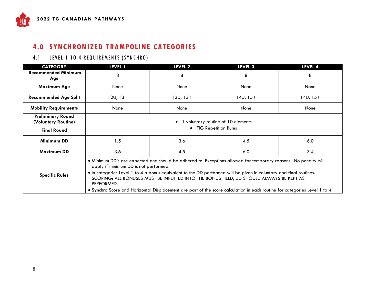# **4.0 SYNCHRONIZED TRAMPOLINE CATEGORIES**

#### 4.1 LEVEL 1 TO 4 REQUIREMENTS (SYNCHRO)

| <b>CATEGORY</b>                                 | <b>LEVEL 1</b>                                                                                                                                                                                                                                                                                                                                                                                                                                                                                                         | LEVEL 2                | <b>LEVEL 3</b> | LEVEL 4    |  |
|-------------------------------------------------|------------------------------------------------------------------------------------------------------------------------------------------------------------------------------------------------------------------------------------------------------------------------------------------------------------------------------------------------------------------------------------------------------------------------------------------------------------------------------------------------------------------------|------------------------|----------------|------------|--|
| <b>Recommended Minimum</b><br>Age               | 8                                                                                                                                                                                                                                                                                                                                                                                                                                                                                                                      | 8                      | 8              | 8          |  |
| <b>Maximum Age</b>                              | None                                                                                                                                                                                                                                                                                                                                                                                                                                                                                                                   | None                   | None           | None       |  |
| <b>Recommended Age Split</b>                    | $12U, 13+$                                                                                                                                                                                                                                                                                                                                                                                                                                                                                                             | $12U, 13+$             | $14U, 15+$     | $14U, 15+$ |  |
| <b>Mobility Requirements</b>                    | None                                                                                                                                                                                                                                                                                                                                                                                                                                                                                                                   | None                   | None           | None       |  |
| <b>Preliminary Round</b><br>(Voluntary Routine) | voluntary routine of 10 elements                                                                                                                                                                                                                                                                                                                                                                                                                                                                                       |                        |                |            |  |
| <b>Final Round</b>                              |                                                                                                                                                                                                                                                                                                                                                                                                                                                                                                                        | • FIG Repetition Rules |                |            |  |
| <b>Minimum DD</b>                               | 1.5                                                                                                                                                                                                                                                                                                                                                                                                                                                                                                                    | 3.6                    | 4.5            | 6.0        |  |
| Maximum DD                                      | 3.6                                                                                                                                                                                                                                                                                                                                                                                                                                                                                                                    | 4.5                    | 6.0            | 7.4        |  |
| <b>Specific Rules</b>                           | • Minimum DD's are expected and should be adhered to. Exceptions allowed for temporary reasons. No penalty will<br>apply if minimum DD is not performed.<br>• In categories Level 1 to 4 a bonus equivalent to the DD performed will be given in voluntary and final routines.<br>SCORING: ALL BONUSES MUST BE INPUTTED INTO THE BONUS FIELD, DD SHOULD ALWAYS BE KEPT AS<br>PERFORMED.<br>.4 Synchro Score and Horizontal Displacement are part of the score calculation in each routine for categories Level 1 to 4. |                        |                |            |  |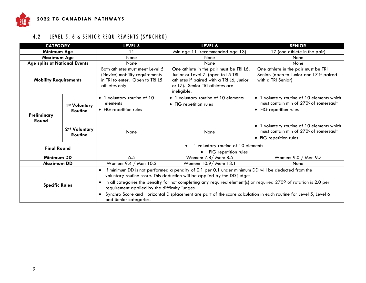

# 4.2 LEVEL 5, 6 & SENIOR REQUIREMENTS (SYNCHRO)

| <b>CATEGORY</b>               |                                 | LEVEL 5                                                                                                                | LEVEL 6                                                                                                                                                                                                                                                                                                                                                                                                                 | <b>SENIOR</b>                                                                                                  |  |  |
|-------------------------------|---------------------------------|------------------------------------------------------------------------------------------------------------------------|-------------------------------------------------------------------------------------------------------------------------------------------------------------------------------------------------------------------------------------------------------------------------------------------------------------------------------------------------------------------------------------------------------------------------|----------------------------------------------------------------------------------------------------------------|--|--|
| Minimum Age                   |                                 | 11                                                                                                                     | Min age 11 (recommended age 13)                                                                                                                                                                                                                                                                                                                                                                                         | 17 (one athlete in the pair)                                                                                   |  |  |
| Maximum Age                   |                                 | None                                                                                                                   | None                                                                                                                                                                                                                                                                                                                                                                                                                    | None                                                                                                           |  |  |
| Age splits at National Events |                                 | None                                                                                                                   | None                                                                                                                                                                                                                                                                                                                                                                                                                    | None                                                                                                           |  |  |
| <b>Mobility Requirements</b>  |                                 | Both athletes must meet Level 5<br>(Novice) mobility requirements<br>in TRI to enter. Open to TRI L5<br>athletes only. | One athlete in the pair must be TRI L6,<br>Junior or Level 7. (open to L5 TRI<br>athletes if paired with a TRI L6, Junior<br>or L7). Senior TRI athletes are<br>ineligible.                                                                                                                                                                                                                                             | One athlete in the pair must be TRI<br>Senior. (open to Junior and L7 if paired<br>with a TRI Senior)          |  |  |
| Preliminary<br>Round          | 1st Voluntary<br><b>Routine</b> | • 1 voluntary routine of 10<br>elements<br>• FIG repetition rules                                                      | • 1 voluntary routine of 10 elements<br>• FIG repetition rules                                                                                                                                                                                                                                                                                                                                                          | • 1 voluntary routine of 10 elements which<br>must contain min of 270° of somersault<br>• FIG repetition rules |  |  |
|                               | 2nd Voluntary<br><b>Routine</b> | None                                                                                                                   | None                                                                                                                                                                                                                                                                                                                                                                                                                    | • 1 voluntary routine of 10 elements which<br>must contain min of 270° of somersault<br>• FIG repetition rules |  |  |
|                               |                                 | 1 voluntary routine of 10 elements<br>$\bullet$                                                                        |                                                                                                                                                                                                                                                                                                                                                                                                                         |                                                                                                                |  |  |
| <b>Final Round</b>            |                                 | FIG repetition rules                                                                                                   |                                                                                                                                                                                                                                                                                                                                                                                                                         |                                                                                                                |  |  |
| <b>Minimum DD</b>             |                                 | 6.5                                                                                                                    | Women: 7.8/ Men: 8.5                                                                                                                                                                                                                                                                                                                                                                                                    | Women: 9.0 / Men 9.7                                                                                           |  |  |
| Maximum DD                    |                                 | Women: 9.4 / Men 10.2                                                                                                  | Women: 10.9/ Men: 13.1                                                                                                                                                                                                                                                                                                                                                                                                  | None                                                                                                           |  |  |
| <b>Specific Rules</b>         |                                 | $\bullet$<br>$\bullet$<br>requirement applied by the difficulty judges.<br>$\bullet$<br>and Senior categories.         | If minimum DD is not performed a penalty of 0.1 per 0.1 under minimum DD will be deducted from the<br>voluntary routine score. This deduction will be applied by the DD judges.<br>In all categories the penalty for not completing any required element(s) or required 270° of rotation is 2.0 per<br>Synchro Score and Horizontal Displacement are part of the score calculation in each routine for Level 5, Level 6 |                                                                                                                |  |  |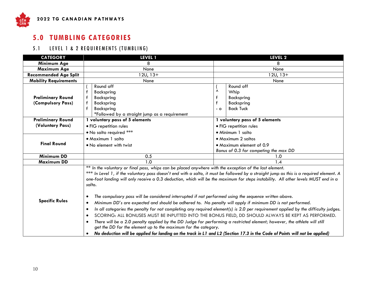

# **5.0 TUMBLING CATEGORIES**

#### 5.1 LEVEL 1 & 2 REQUIREMENTS (TUMBLING)

<span id="page-10-0"></span>

| <b>CATEGORY</b>              | <b>LEVEL 1</b>                                                                                                                                                                                                                                                                                                                                                                                                                                                                                                                                                                                                                                                                                                                                                                                                                                                                                                                                                                                                                                                                               | LEVEL <sub>2</sub>                    |  |
|------------------------------|----------------------------------------------------------------------------------------------------------------------------------------------------------------------------------------------------------------------------------------------------------------------------------------------------------------------------------------------------------------------------------------------------------------------------------------------------------------------------------------------------------------------------------------------------------------------------------------------------------------------------------------------------------------------------------------------------------------------------------------------------------------------------------------------------------------------------------------------------------------------------------------------------------------------------------------------------------------------------------------------------------------------------------------------------------------------------------------------|---------------------------------------|--|
| Minimum Age                  | 8                                                                                                                                                                                                                                                                                                                                                                                                                                                                                                                                                                                                                                                                                                                                                                                                                                                                                                                                                                                                                                                                                            | 8                                     |  |
| Maximum Age                  | None                                                                                                                                                                                                                                                                                                                                                                                                                                                                                                                                                                                                                                                                                                                                                                                                                                                                                                                                                                                                                                                                                         | None                                  |  |
| <b>Recommended Age Split</b> | $12U, 13+$                                                                                                                                                                                                                                                                                                                                                                                                                                                                                                                                                                                                                                                                                                                                                                                                                                                                                                                                                                                                                                                                                   | $12U, 13+$                            |  |
| <b>Mobility Requirements</b> | None                                                                                                                                                                                                                                                                                                                                                                                                                                                                                                                                                                                                                                                                                                                                                                                                                                                                                                                                                                                                                                                                                         | None                                  |  |
|                              | Round off                                                                                                                                                                                                                                                                                                                                                                                                                                                                                                                                                                                                                                                                                                                                                                                                                                                                                                                                                                                                                                                                                    | Round off                             |  |
|                              | f<br>Backspring                                                                                                                                                                                                                                                                                                                                                                                                                                                                                                                                                                                                                                                                                                                                                                                                                                                                                                                                                                                                                                                                              | Λ<br>Whip                             |  |
| <b>Preliminary Round</b>     | Backspring                                                                                                                                                                                                                                                                                                                                                                                                                                                                                                                                                                                                                                                                                                                                                                                                                                                                                                                                                                                                                                                                                   | f<br>Backspring                       |  |
| (Compulsory Pass)            | Backspring                                                                                                                                                                                                                                                                                                                                                                                                                                                                                                                                                                                                                                                                                                                                                                                                                                                                                                                                                                                                                                                                                   | Backspring                            |  |
|                              | f<br>Backspring                                                                                                                                                                                                                                                                                                                                                                                                                                                                                                                                                                                                                                                                                                                                                                                                                                                                                                                                                                                                                                                                              | <b>Back Tuck</b><br>$-$ 0             |  |
|                              | *Followed by a straight jump as a requirement                                                                                                                                                                                                                                                                                                                                                                                                                                                                                                                                                                                                                                                                                                                                                                                                                                                                                                                                                                                                                                                |                                       |  |
| <b>Preliminary Round</b>     | 1 voluntary pass of 5 elements                                                                                                                                                                                                                                                                                                                                                                                                                                                                                                                                                                                                                                                                                                                                                                                                                                                                                                                                                                                                                                                               | 1 voluntary pass of 5 elements        |  |
| (Voluntary Pass)             | · FIG repetition rules                                                                                                                                                                                                                                                                                                                                                                                                                                                                                                                                                                                                                                                                                                                                                                                                                                                                                                                                                                                                                                                                       | · FIG repetition rules                |  |
|                              | . No salto required ***                                                                                                                                                                                                                                                                                                                                                                                                                                                                                                                                                                                                                                                                                                                                                                                                                                                                                                                                                                                                                                                                      | • Minimum 1 salto                     |  |
|                              | • Maximum 1 salto                                                                                                                                                                                                                                                                                                                                                                                                                                                                                                                                                                                                                                                                                                                                                                                                                                                                                                                                                                                                                                                                            | • Maximum 2 saltos                    |  |
| <b>Final Round</b>           | • No element with twist                                                                                                                                                                                                                                                                                                                                                                                                                                                                                                                                                                                                                                                                                                                                                                                                                                                                                                                                                                                                                                                                      | • Maximum element of 0.9              |  |
|                              |                                                                                                                                                                                                                                                                                                                                                                                                                                                                                                                                                                                                                                                                                                                                                                                                                                                                                                                                                                                                                                                                                              | Bonus of 0.3 for competing the max DD |  |
| <b>Minimum DD</b>            | 0.5                                                                                                                                                                                                                                                                                                                                                                                                                                                                                                                                                                                                                                                                                                                                                                                                                                                                                                                                                                                                                                                                                          | 1.0                                   |  |
| <b>Maximum DD</b>            | 1.0                                                                                                                                                                                                                                                                                                                                                                                                                                                                                                                                                                                                                                                                                                                                                                                                                                                                                                                                                                                                                                                                                          | 1.4                                   |  |
| <b>Specific Rules</b>        | ** In the voluntary or final pass, whips can be placed anywhere with the exception of the last element.<br>*** In Level 1, if the voluntary pass doesn't end with a salto, it must be followed by a straight jump as this is a required element. A<br>one-foot landing will only receive a 0.3 deduction, which will be the maximum for steps instability. All other levels MUST end in a<br>salto.<br>The compulsory pass will be considered interrupted if not performed using the sequence written above.<br>$\bullet$<br>Minimum DD's are expected and should be adhered to. No penalty will apply if minimum DD is not performed.<br>In all categories the penalty for not completing any required element(s) is 2.0 per requirement applied by the difficulty judges.<br>SCORING: ALL BONUSES MUST BE INPUTTED INTO THE BONUS FIELD, DD SHOULD ALWAYS BE KEPT AS PERFORMED.<br>$\bullet$<br>There will be a 2.0 penalty applied by the DD Judge for performing a restricted element; however, the athlete will still<br>get the DD for the element up to the maximum for the category. |                                       |  |
|                              | No deduction will be applied for landing on the track in L1 and L2 (Section 17.3 in the Code of Points will not be applied)                                                                                                                                                                                                                                                                                                                                                                                                                                                                                                                                                                                                                                                                                                                                                                                                                                                                                                                                                                  |                                       |  |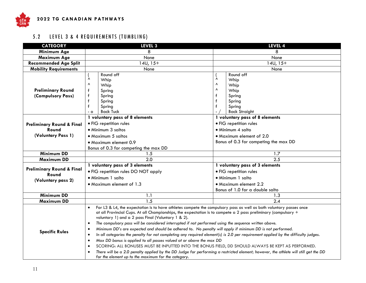

# 5.2 LEVEL 3 & 4 REQUIREMENTS (TUMBLING)

| <b>CATEGORY</b>                               | LEVEL <sub>3</sub>                                                                                                                                                                                                                                                                                                                                                                                                                                                                                                                                                                                                                                                                                                                                                                                                                                                                                                                                                                                                                                                                                               | LEVEL 4                                                                                                                                   |  |
|-----------------------------------------------|------------------------------------------------------------------------------------------------------------------------------------------------------------------------------------------------------------------------------------------------------------------------------------------------------------------------------------------------------------------------------------------------------------------------------------------------------------------------------------------------------------------------------------------------------------------------------------------------------------------------------------------------------------------------------------------------------------------------------------------------------------------------------------------------------------------------------------------------------------------------------------------------------------------------------------------------------------------------------------------------------------------------------------------------------------------------------------------------------------------|-------------------------------------------------------------------------------------------------------------------------------------------|--|
| Minimum Age                                   | 8                                                                                                                                                                                                                                                                                                                                                                                                                                                                                                                                                                                                                                                                                                                                                                                                                                                                                                                                                                                                                                                                                                                | 8                                                                                                                                         |  |
| Maximum Age                                   | None                                                                                                                                                                                                                                                                                                                                                                                                                                                                                                                                                                                                                                                                                                                                                                                                                                                                                                                                                                                                                                                                                                             | None                                                                                                                                      |  |
| <b>Recommended Age Split</b>                  | $14U, 15+$                                                                                                                                                                                                                                                                                                                                                                                                                                                                                                                                                                                                                                                                                                                                                                                                                                                                                                                                                                                                                                                                                                       | $14U, 15+$                                                                                                                                |  |
| <b>Mobility Requirements</b>                  | None                                                                                                                                                                                                                                                                                                                                                                                                                                                                                                                                                                                                                                                                                                                                                                                                                                                                                                                                                                                                                                                                                                             | None                                                                                                                                      |  |
| <b>Preliminary Round</b><br>(Compulsory Pass) | Round off<br>Λ<br>Whip<br>$\boldsymbol{\wedge}$<br>Whip<br>f<br>Spring<br>Spring<br>f<br>Spring<br>$\mathbf f$<br>Spring<br><b>Back Tuck</b><br>$-0$                                                                                                                                                                                                                                                                                                                                                                                                                                                                                                                                                                                                                                                                                                                                                                                                                                                                                                                                                             | Round off<br>Λ<br>Whip<br>$\boldsymbol{\wedge}$<br>Whip<br>Λ<br>Whip<br>f<br>Spring<br>f<br>Spring<br>f<br>Spring<br><b>Back Straight</b> |  |
|                                               | 1 voluntary pass of 8 elements                                                                                                                                                                                                                                                                                                                                                                                                                                                                                                                                                                                                                                                                                                                                                                                                                                                                                                                                                                                                                                                                                   | 1 voluntary pass of 8 elements                                                                                                            |  |
| <b>Preliminary Round &amp; Final</b>          | • FIG repetition rules                                                                                                                                                                                                                                                                                                                                                                                                                                                                                                                                                                                                                                                                                                                                                                                                                                                                                                                                                                                                                                                                                           | • FIG repetition rules                                                                                                                    |  |
| Round                                         | • Minimum 3 saltos                                                                                                                                                                                                                                                                                                                                                                                                                                                                                                                                                                                                                                                                                                                                                                                                                                                                                                                                                                                                                                                                                               | · Minimum 4 salto                                                                                                                         |  |
| (Voluntary Pass 1)                            | • Maximum 5 saltos                                                                                                                                                                                                                                                                                                                                                                                                                                                                                                                                                                                                                                                                                                                                                                                                                                                                                                                                                                                                                                                                                               | • Maximum element of 2.0                                                                                                                  |  |
|                                               | • Maximum element 0.9                                                                                                                                                                                                                                                                                                                                                                                                                                                                                                                                                                                                                                                                                                                                                                                                                                                                                                                                                                                                                                                                                            | Bonus of 0.3 for competing the max DD                                                                                                     |  |
|                                               | Bonus of 0.3 for competing the max DD                                                                                                                                                                                                                                                                                                                                                                                                                                                                                                                                                                                                                                                                                                                                                                                                                                                                                                                                                                                                                                                                            |                                                                                                                                           |  |
| <b>Minimum DD</b>                             | 1.5                                                                                                                                                                                                                                                                                                                                                                                                                                                                                                                                                                                                                                                                                                                                                                                                                                                                                                                                                                                                                                                                                                              | 1.7                                                                                                                                       |  |
| <b>Maximum DD</b>                             | 2.0                                                                                                                                                                                                                                                                                                                                                                                                                                                                                                                                                                                                                                                                                                                                                                                                                                                                                                                                                                                                                                                                                                              | 2.5                                                                                                                                       |  |
|                                               | 1 voluntary pass of 3 elements                                                                                                                                                                                                                                                                                                                                                                                                                                                                                                                                                                                                                                                                                                                                                                                                                                                                                                                                                                                                                                                                                   | 1 voluntary pass of 3 elements                                                                                                            |  |
| <b>Preliminary Round &amp; Final</b><br>Round | • FIG repetition rules DO NOT apply                                                                                                                                                                                                                                                                                                                                                                                                                                                                                                                                                                                                                                                                                                                                                                                                                                                                                                                                                                                                                                                                              | · FIG repetition rules                                                                                                                    |  |
| (Voluntary pass 2)                            | · Minimum 1 salto                                                                                                                                                                                                                                                                                                                                                                                                                                                                                                                                                                                                                                                                                                                                                                                                                                                                                                                                                                                                                                                                                                | · Minimum 1 salto                                                                                                                         |  |
|                                               | • Maximum element of 1.3                                                                                                                                                                                                                                                                                                                                                                                                                                                                                                                                                                                                                                                                                                                                                                                                                                                                                                                                                                                                                                                                                         | • Maximum element 2.2                                                                                                                     |  |
|                                               |                                                                                                                                                                                                                                                                                                                                                                                                                                                                                                                                                                                                                                                                                                                                                                                                                                                                                                                                                                                                                                                                                                                  | Bonus of 1.0 for a double salto                                                                                                           |  |
| <b>Minimum DD</b>                             | 1.1                                                                                                                                                                                                                                                                                                                                                                                                                                                                                                                                                                                                                                                                                                                                                                                                                                                                                                                                                                                                                                                                                                              | 1.3                                                                                                                                       |  |
| <b>Maximum DD</b>                             | $\overline{1.5}$                                                                                                                                                                                                                                                                                                                                                                                                                                                                                                                                                                                                                                                                                                                                                                                                                                                                                                                                                                                                                                                                                                 | $\overline{2.4}$                                                                                                                          |  |
| <b>Specific Rules</b>                         | For L3 & L4, the expectation is to have athletes compete the compulsory pass as well as both voluntary passes once<br>at all Provincial Cups. At all Championships, the expectation is to compete a 2 pass preliminary (compulsory $+$<br>voluntary 1) and a 2 pass Final (Voluntary 1 & 2).<br>The compulsory pass will be considered interrupted if not performed using the sequence written above.<br>$\bullet$<br>Minimum DD's are expected and should be adhered to. No penalty will apply if minimum DD is not performed.<br>$\bullet$<br>In all categories the penalty for not completing any required element(s) is 2.0 per requirement applied by the difficulty judges.<br>$\bullet$<br>Max DD bonus is applied to all passes valued at or above the max DD<br>$\bullet$<br>SCORING: ALL BONUSES MUST BE INPUTTED INTO THE BONUS FIELD, DD SHOULD ALWAYS BE KEPT AS PERFORMED.<br>$\bullet$<br>There will be a 2.0 penalty applied by the DD Judge for performing a restricted element; however, the athlete will still get the DD<br>$\bullet$<br>for the element up to the maximum for the category. |                                                                                                                                           |  |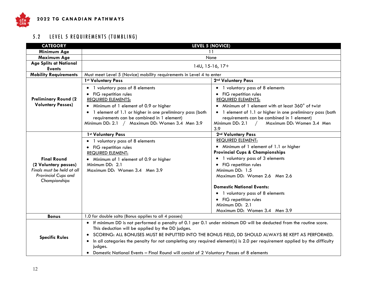

# 5.2 LEVEL 5 REQUIREMENTS (TUMBLING)

| <b>CATEGORY</b>                                   | <b>LEVEL 5 (NOVICE)</b>                                                                                             |                                                                                                                           |  |  |  |
|---------------------------------------------------|---------------------------------------------------------------------------------------------------------------------|---------------------------------------------------------------------------------------------------------------------------|--|--|--|
| Minimum Age                                       |                                                                                                                     | 11                                                                                                                        |  |  |  |
| Maximum Age                                       | None                                                                                                                |                                                                                                                           |  |  |  |
| <b>Age Splits at National</b>                     |                                                                                                                     | $14U, 15-16, 17+$                                                                                                         |  |  |  |
| <b>Events</b>                                     |                                                                                                                     |                                                                                                                           |  |  |  |
| <b>Mobility Requirements</b>                      | Must meet Level 5 (Novice) mobility requirements in Level 4 to enter                                                |                                                                                                                           |  |  |  |
|                                                   | 1st Voluntary Pass                                                                                                  | 2nd Voluntary Pass                                                                                                        |  |  |  |
|                                                   | • 1 voluntary pass of 8 elements                                                                                    | • 1 voluntary pass of 8 elements                                                                                          |  |  |  |
|                                                   | • FIG repetition rules                                                                                              | • FIG repetition rules                                                                                                    |  |  |  |
| <b>Preliminary Round (2)</b>                      | <b>REQUIRED ELEMENTS:</b>                                                                                           | <b>REQUIRED ELEMENTS:</b>                                                                                                 |  |  |  |
| <b>Voluntary Passes)</b>                          | Minimum of 1 element of 0.9 or higher                                                                               | • Minimum of 1 element with at least 360° of twist                                                                        |  |  |  |
|                                                   | • 1 element of 1.1 or higher in one preliminary pass (both                                                          | • 1 element of 1.1 or higher in one preliminary pass (both                                                                |  |  |  |
|                                                   | requirements can be combined in 1 element)                                                                          | requirements can be combined in 1 element)                                                                                |  |  |  |
|                                                   | Minimum DD: 2.1 / Maximum DD: Women 3.4 Men 3.9                                                                     | Minimum DD: 2.1<br>Maximum DD: Women 3.4 Men                                                                              |  |  |  |
|                                                   |                                                                                                                     | 3.9                                                                                                                       |  |  |  |
|                                                   | 1st Voluntary Pass                                                                                                  | 2nd Voluntary Pass                                                                                                        |  |  |  |
|                                                   | • 1 voluntary pass of 8 elements                                                                                    | <b>REQUIRED ELEMENT:</b>                                                                                                  |  |  |  |
|                                                   | FIG repetition rules                                                                                                | • Minimum of 1 element of 1.1 or higher                                                                                   |  |  |  |
|                                                   | <b>REQUIRED ELEMENT:</b>                                                                                            | <b>Provincial Cups &amp; Championships</b>                                                                                |  |  |  |
| <b>Final Round</b>                                | • Minimum of 1 element of 0.9 or higher                                                                             | • 1 voluntary pass of 3 elements                                                                                          |  |  |  |
| (2 Voluntary passes)                              | Minimum DD: 2.1                                                                                                     | • FIG repetition rules                                                                                                    |  |  |  |
| Finals must be held at all<br>Provincial Cups and | Maximum DD: Women 3.4 Men 3.9                                                                                       | Minimum DD: 1.5                                                                                                           |  |  |  |
| Championships                                     |                                                                                                                     | Maximum DD: Women 2.6 Men 2.6                                                                                             |  |  |  |
|                                                   |                                                                                                                     | <b>Domestic National Events:</b>                                                                                          |  |  |  |
|                                                   |                                                                                                                     | • 1 voluntary pass of 8 elements                                                                                          |  |  |  |
|                                                   |                                                                                                                     | • FIG repetition rules                                                                                                    |  |  |  |
|                                                   |                                                                                                                     | Minimum DD: 2.1                                                                                                           |  |  |  |
|                                                   |                                                                                                                     | Maximum DD: Women 3.4 Men 3.9                                                                                             |  |  |  |
| <b>Bonus</b>                                      | 1.0 for double salto (Bonus applies to all 4 passes)                                                                |                                                                                                                           |  |  |  |
|                                                   | • If minimum DD is not performed a penalty of 0.1 per 0.1 under minimum DD will be deducted from the routine score. |                                                                                                                           |  |  |  |
|                                                   | This deduction will be applied by the DD judges.                                                                    |                                                                                                                           |  |  |  |
| <b>Specific Rules</b>                             | $\bullet$                                                                                                           | SCORING: ALL BONUSES MUST BE INPUTTED INTO THE BONUS FIELD, DD SHOULD ALWAYS BE KEPT AS PERFORMED.                        |  |  |  |
|                                                   | $\bullet$                                                                                                           | In all categories the penalty for not completing any required element(s) is 2.0 per requirement applied by the difficulty |  |  |  |
|                                                   | judges.                                                                                                             |                                                                                                                           |  |  |  |
|                                                   | Domestic National Events - Final Round will consist of 2 Voluntary Passes of 8 elements                             |                                                                                                                           |  |  |  |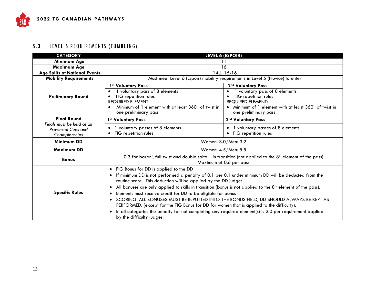#### 5.3 LEVEL 6 REQUIREMENTS (TUMBLING)

| <b>CATEGORY</b>                      | LEVEL 6 (ESPOIR)                                                                                                                                                                       |                                                                               |  |  |
|--------------------------------------|----------------------------------------------------------------------------------------------------------------------------------------------------------------------------------------|-------------------------------------------------------------------------------|--|--|
| Minimum Age                          | 11                                                                                                                                                                                     |                                                                               |  |  |
| <b>Maximum Age</b>                   |                                                                                                                                                                                        | 16                                                                            |  |  |
| <b>Age Splits at National Events</b> |                                                                                                                                                                                        | 14U, 15-16                                                                    |  |  |
| <b>Mobility Requirements</b>         |                                                                                                                                                                                        | Must meet Level 6 (Espoir) mobility requirements in Level 5 (Novice) to enter |  |  |
|                                      | 1st Voluntary Pass                                                                                                                                                                     | 2nd Voluntary Pass                                                            |  |  |
|                                      | voluntary pass of 8 elements<br>$\bullet$                                                                                                                                              | voluntary pass of 8 elements<br>$\bullet$                                     |  |  |
| <b>Preliminary Round</b>             | FIG repetition rules                                                                                                                                                                   | FIG repetition rules                                                          |  |  |
|                                      | <b>REQUIRED ELEMENT:</b>                                                                                                                                                               | <b>REQUIRED ELEMENT:</b>                                                      |  |  |
|                                      | Minimum of 1 element with at least 360° of twist in<br>$\bullet$                                                                                                                       | • Minimum of 1 element with at least 360° of twist in                         |  |  |
|                                      | one preliminary pass                                                                                                                                                                   | one preliminary pass                                                          |  |  |
| <b>Final Round</b>                   | 1st Voluntary Pass                                                                                                                                                                     | 2nd Voluntary Pass                                                            |  |  |
| Finals must be held at all           | 1 voluntary passes of 8 elements                                                                                                                                                       | 1 voluntary passes of 8 elements                                              |  |  |
| Provincial Cups and                  | FIG repetition rules<br>$\bullet$                                                                                                                                                      | FIG repetition rules                                                          |  |  |
| Championships                        |                                                                                                                                                                                        |                                                                               |  |  |
| <b>Minimum DD</b>                    |                                                                                                                                                                                        | Women: 3.0/Men: 3.2                                                           |  |  |
| <b>Maximum DD</b>                    |                                                                                                                                                                                        | Women: 4.5/Men: 5.5                                                           |  |  |
| <b>Bonus</b>                         | 0.3 for barani, full twist and double salto – in transition (not applied to the $8^{th}$ element of the pass)                                                                          |                                                                               |  |  |
|                                      | Maximum of 0.6 per pass                                                                                                                                                                |                                                                               |  |  |
|                                      | • FIG Bonus for DD is applied to the DD                                                                                                                                                |                                                                               |  |  |
|                                      | If minimum DD is not performed a penalty of 0.1 per 0.1 under minimum DD will be deducted from the                                                                                     |                                                                               |  |  |
|                                      | routine score. This deduction will be applied by the DD judges.                                                                                                                        |                                                                               |  |  |
|                                      | All bonuses are only applied to skills in transition (bonus is not applied to the 8 <sup>th</sup> element of the pass).                                                                |                                                                               |  |  |
| <b>Specific Rules</b>                | Elements must receive credit for DD to be eligible for bonus                                                                                                                           |                                                                               |  |  |
|                                      |                                                                                                                                                                                        |                                                                               |  |  |
|                                      | • SCORING: ALL BONUSES MUST BE INPUTTED INTO THE BONUS FIELD, DD SHOULD ALWAYS BE KEPT AS<br>PERFORMED. (except for the FIG Bonus for DD for women that is applied to the difficulty). |                                                                               |  |  |
|                                      | In all categories the penalty for not completing any required element(s) is 2.0 per requirement applied                                                                                |                                                                               |  |  |
|                                      | by the difficulty judges.                                                                                                                                                              |                                                                               |  |  |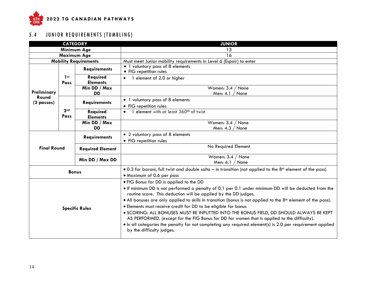

# 5.4 JUNIOR REQUIREMENTS (TUMBLING)

<span id="page-14-0"></span>

|                               | <b>CATEGORY</b>         |                             | <b>JUNIOR</b>                                                                                                                                                                                                                                                                                                                                                                                                                                                                                                                                                                                                                                                                                                                                         |
|-------------------------------|-------------------------|-----------------------------|-------------------------------------------------------------------------------------------------------------------------------------------------------------------------------------------------------------------------------------------------------------------------------------------------------------------------------------------------------------------------------------------------------------------------------------------------------------------------------------------------------------------------------------------------------------------------------------------------------------------------------------------------------------------------------------------------------------------------------------------------------|
|                               |                         | Minimum Age                 | 13                                                                                                                                                                                                                                                                                                                                                                                                                                                                                                                                                                                                                                                                                                                                                    |
| Maximum Age                   |                         |                             | 16                                                                                                                                                                                                                                                                                                                                                                                                                                                                                                                                                                                                                                                                                                                                                    |
| <b>Mobility Requirements</b>  |                         |                             | Must meet Junior mobility requirements in Level 6 (Espoir) to enter                                                                                                                                                                                                                                                                                                                                                                                                                                                                                                                                                                                                                                                                                   |
|                               |                         | <b>Requirements</b>         | • 1 voluntary pass of 8 elements<br>• FIG repetition rules                                                                                                                                                                                                                                                                                                                                                                                                                                                                                                                                                                                                                                                                                            |
|                               | 1 <sub>st</sub><br>Pass | Required<br><b>Elements</b> | 1 element of 2.0 or higher                                                                                                                                                                                                                                                                                                                                                                                                                                                                                                                                                                                                                                                                                                                            |
| Preliminary                   |                         | Min DD / Max<br><b>DD</b>   | Women: 3.4 / None<br>Men: 4.1 /<br>None                                                                                                                                                                                                                                                                                                                                                                                                                                                                                                                                                                                                                                                                                                               |
| Round<br>$(2 \text{ passes})$ |                         | <b>Requirements</b>         | • 1 voluntary pass of 8 elements<br>• FIG repetition rules                                                                                                                                                                                                                                                                                                                                                                                                                                                                                                                                                                                                                                                                                            |
|                               | 2 <sub>nd</sub><br>Pass | Required<br><b>Elements</b> | • 1 element with at least 360° of twist                                                                                                                                                                                                                                                                                                                                                                                                                                                                                                                                                                                                                                                                                                               |
|                               |                         | Min DD / Max<br><b>DD</b>   | Women: 3.4 / None<br>Men: $4.3 /$ None                                                                                                                                                                                                                                                                                                                                                                                                                                                                                                                                                                                                                                                                                                                |
|                               | <b>Requirements</b>     |                             | • 2 voluntary pass of 8 elements<br>• FIG repetition rules                                                                                                                                                                                                                                                                                                                                                                                                                                                                                                                                                                                                                                                                                            |
| <b>Final Round</b>            |                         | <b>Required Element</b>     | No Required Element                                                                                                                                                                                                                                                                                                                                                                                                                                                                                                                                                                                                                                                                                                                                   |
|                               |                         | Min DD / Max DD             | Women: $3.4 /$ None<br>Men: $4.1 /$ None                                                                                                                                                                                                                                                                                                                                                                                                                                                                                                                                                                                                                                                                                                              |
|                               | <b>Bonus</b>            |                             | • 0.3 for barani, full twist and double salto – in transition (not applied to the 8 <sup>th</sup> element of the pass)<br>• Maximum of 0.6 per pass                                                                                                                                                                                                                                                                                                                                                                                                                                                                                                                                                                                                   |
| <b>Specific Rules</b>         |                         |                             | . FIG Bonus for DD is applied to the DD<br>. If minimum DD is not performed a penalty of 0.1 per 0.1 under minimum DD will be deducted from the<br>routine score. This deduction will be applied by the DD judges.<br>• All bonuses are only applied to skills in transition (bonus is not applied to the 8 <sup>th</sup> element of the pass).<br>· Elements must receive credit for DD to be eligible for bonus<br>· SCORING: ALL BONUSES MUST BE INPUTTED INTO THE BONUS FIELD, DD SHOULD ALWAYS BE KEPT<br>AS PERFORMED. (except for the FIG Bonus for DD for women that is applied to the difficulty).<br>• In all categories the penalty for not completing any required element(s) is 2.0 per requirement applied<br>by the difficulty judges. |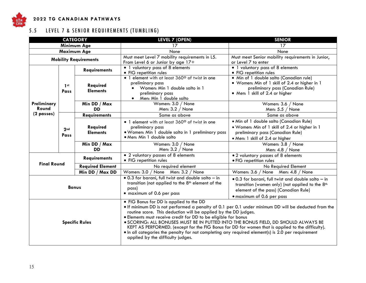

#### **202 2 T G C A N A D I A N P A T H W A Y S**

# 5.5 LEVEL 7 & SENIOR REQUIREMENTS (TUMBLING)

| <b>CATEGORY</b><br><b>LEVEL 7 (OPEN)</b><br><b>SENIOR</b> |                         |                             |                                                                                                                                                                                                                                                                                                                                                                                                                                                                                                                                                                                                                           |                                                                                                                                                                                       |
|-----------------------------------------------------------|-------------------------|-----------------------------|---------------------------------------------------------------------------------------------------------------------------------------------------------------------------------------------------------------------------------------------------------------------------------------------------------------------------------------------------------------------------------------------------------------------------------------------------------------------------------------------------------------------------------------------------------------------------------------------------------------------------|---------------------------------------------------------------------------------------------------------------------------------------------------------------------------------------|
|                                                           |                         | Minimum Age                 | 17                                                                                                                                                                                                                                                                                                                                                                                                                                                                                                                                                                                                                        | 17                                                                                                                                                                                    |
|                                                           |                         | <b>Maximum Age</b>          | None                                                                                                                                                                                                                                                                                                                                                                                                                                                                                                                                                                                                                      | None                                                                                                                                                                                  |
| <b>Mobility Requirements</b>                              |                         |                             | Must meet Level 7 mobility requirements in L5.<br>From Level 6 or Junior by age 17+                                                                                                                                                                                                                                                                                                                                                                                                                                                                                                                                       | Must meet Senior mobility requirements in Junior,<br>or Level 7 to enter                                                                                                              |
|                                                           |                         | <b>Requirements</b>         | • 1 voluntary pass of 8 elements<br>• FIG repetition rules                                                                                                                                                                                                                                                                                                                                                                                                                                                                                                                                                                | • 1 voluntary pass of 8 elements<br>• FIG repetition rules                                                                                                                            |
|                                                           | 1 <sub>st</sub><br>Pass | Required<br><b>Elements</b> | • 1 element with at least 360° of twist in one<br>preliminary pass<br>Women: Min 1 double salto in 1<br>preliminary pass<br>• Men: Min 1 double salto                                                                                                                                                                                                                                                                                                                                                                                                                                                                     | · Min of 1 double salto (Canadian rule)<br>· Women: Min of 1 skill of 2.4 or higher in 1<br>preliminary pass (Canadian Rule)<br>• Men: 1 skill of 2.4 or higher                       |
| Preliminary<br>Round                                      |                         | Min DD / Max<br><b>DD</b>   | Women: 3.0 / None<br>Men: $3.2 /$ None                                                                                                                                                                                                                                                                                                                                                                                                                                                                                                                                                                                    | Women: 3.6 / None<br>Men: $5.5 /$ None                                                                                                                                                |
| (2 passes)                                                |                         | <b>Requirements</b>         | Same as above                                                                                                                                                                                                                                                                                                                                                                                                                                                                                                                                                                                                             | Same as above                                                                                                                                                                         |
|                                                           | 2 <sub>nd</sub><br>Pass | Required<br><b>Elements</b> | • 1 element with at least 360° of twist in one<br>preliminary pass<br>. Women: Min 1 double salto in 1 preliminary pass<br>· Men: Min 1 double salto                                                                                                                                                                                                                                                                                                                                                                                                                                                                      | · Min of 1 double salto (Canadian Rule)<br>. Women: Min of 1 skill of 2.4 or higher in 1<br>preliminary pass (Canadian Rule)<br>· Men: 1 skill of 2.4 or higher                       |
|                                                           |                         | Min DD / Max<br><b>DD</b>   | Women: 3.0 / None<br>Men: $3.2 /$ None                                                                                                                                                                                                                                                                                                                                                                                                                                                                                                                                                                                    | Women: 3.8 / None<br>Men: $4.8 /$ None                                                                                                                                                |
| <b>Final Round</b>                                        |                         | <b>Requirements</b>         | • 2 voluntary passes of 8 elements<br>• FIG repetition rules                                                                                                                                                                                                                                                                                                                                                                                                                                                                                                                                                              | • 2 voluntary passes of 8 elements<br>· FIG repetition rules                                                                                                                          |
|                                                           |                         | <b>Required Element</b>     | No required element                                                                                                                                                                                                                                                                                                                                                                                                                                                                                                                                                                                                       | No Required Element                                                                                                                                                                   |
|                                                           |                         | Min DD / Max DD             | Women: 3.0 / None Men: 3.2 / None                                                                                                                                                                                                                                                                                                                                                                                                                                                                                                                                                                                         | Women: 3.6 / None Men: 4.8 / None                                                                                                                                                     |
| <b>Bonus</b>                                              |                         |                             | · 0.3 for barani, full twist and double salto - in<br>transition (not applied to the 8 <sup>th</sup> element of the<br>pass)<br>· maximum of 0.6 per pass                                                                                                                                                                                                                                                                                                                                                                                                                                                                 | .0.3 for barani, full twist and double salto - in<br>transition (women only) (not applied to the 8 <sup>th</sup><br>element of the pass) (Canadian Rule)<br>· maximum of 0.6 per pass |
| <b>Specific Rules</b>                                     |                         |                             | . FIG Bonus for DD is applied to the DD<br>. If minimum DD is not performed a penalty of 0.1 per 0.1 under minimum DD will be deducted from the<br>routine score. This deduction will be applied by the DD judges.<br>· Elements must receive credit for DD to be eligible for bonus<br>. SCORING: ALL BONUSES MUST BE IN PUTTED INTO THE BONUS FIELD, DD SHOULD ALWAYS BE<br>KEPT AS PERFORMED. (except for the FIG Bonus for DD for women that is applied to the difficulty).<br>• In all categories the penalty for not completing any required element(s) is 2.0 per requirement<br>applied by the difficulty judges. |                                                                                                                                                                                       |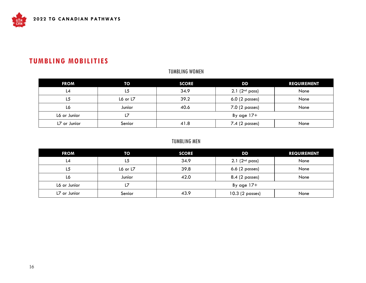# **TUMBLING MOBILITIES**

#### TUMBLING WOMEN

| <b>FROM</b>  | TO         | <b>SCORE</b> | DD                  | <b>REQUIREMENT</b> |
|--------------|------------|--------------|---------------------|--------------------|
| L4           | L5         | 34.9         | $2.1$ ( $2nd$ pass) | None               |
| L5           | L6 or $L7$ | 39.2         | $6.0$ (2 passes)    | None               |
| L6           | Junior     | 40.6         | 7.0 (2 passes)      | None               |
| L6 or Junior | L7         |              | By age $17+$        |                    |
| L7 or Junior | Senior     | 41.8         | 7.4 (2 passes)      | None               |

#### TUMBLING MEN

| <b>FROM</b>  | TO       | <b>SCORE</b> | DD                           | <b>REQUIREMENT</b> |
|--------------|----------|--------------|------------------------------|--------------------|
| L4           | L5       | 34.9         | $2.1$ (2 <sup>nd</sup> pass) | None               |
| L5           | L6 or L7 | 39.8         | $6.6$ (2 passes)             | None               |
| L6           | Junior   | 42.0         | 8.4 (2 passes)               | None               |
| L6 or Junior | L7       |              | By age $17+$                 |                    |
| L7 or Junior | Senior   | 43.9         | 10.3 (2 passes)              | None               |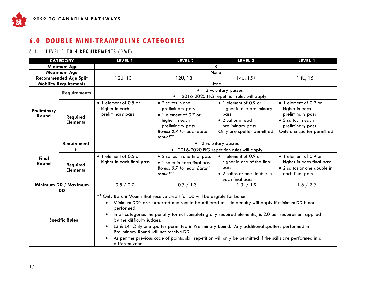# **6.0 DOUBLE MINI-TRAMPOLINE CATEGORIES**

#### 6.1 LEVEL 1 TO 4 REQUIREMENTS (DMT)

| <b>CATEGORY</b>              |                                   | <b>LEVEL 1</b>                                                                                                   | LEVEL 2                                                                                                                                               | <b>LEVEL 3</b>                                                                                                                                                                                                                                                                                                                                                                                                              | LEVEL 4                                                                                                                             |  |
|------------------------------|-----------------------------------|------------------------------------------------------------------------------------------------------------------|-------------------------------------------------------------------------------------------------------------------------------------------------------|-----------------------------------------------------------------------------------------------------------------------------------------------------------------------------------------------------------------------------------------------------------------------------------------------------------------------------------------------------------------------------------------------------------------------------|-------------------------------------------------------------------------------------------------------------------------------------|--|
|                              | Minimum Age                       | 8                                                                                                                |                                                                                                                                                       |                                                                                                                                                                                                                                                                                                                                                                                                                             |                                                                                                                                     |  |
| <b>Maximum Age</b>           |                                   | None                                                                                                             |                                                                                                                                                       |                                                                                                                                                                                                                                                                                                                                                                                                                             |                                                                                                                                     |  |
| <b>Recommended Age Split</b> |                                   | $12U, 13+$                                                                                                       | $12U, 13+$                                                                                                                                            | $14U, 15+$                                                                                                                                                                                                                                                                                                                                                                                                                  | $14U, 15+$                                                                                                                          |  |
|                              | <b>Mobility Requirements</b>      |                                                                                                                  |                                                                                                                                                       | None                                                                                                                                                                                                                                                                                                                                                                                                                        |                                                                                                                                     |  |
|                              | <b>Requirements</b>               |                                                                                                                  | $\bullet$                                                                                                                                             | 2 voluntary passes                                                                                                                                                                                                                                                                                                                                                                                                          |                                                                                                                                     |  |
|                              |                                   |                                                                                                                  |                                                                                                                                                       | 2016-2020 FIG repetition rules will apply                                                                                                                                                                                                                                                                                                                                                                                   |                                                                                                                                     |  |
| Preliminary<br>Round         | Required<br><b>Elements</b>       | • 1 element of 0.5 or<br>higher in each<br>preliminary pass                                                      | $\bullet$ 2 saltos in one<br>preliminary pass<br>• 1 element of 0.7 or<br>higher in each<br>preliminary pass<br>Bonus: 0.7 for each Barani<br>Mount** | • 1 element of 0.9 or<br>higher in one preliminary<br>pass<br>• 2 saltos in each<br>preliminary pass<br>Only one spotter permitted                                                                                                                                                                                                                                                                                          | • 1 element of 0.9 or<br>higher in each<br>preliminary pass<br>• 2 saltos in each<br>preliminary pass<br>Only one spotter permitted |  |
|                              | Requirement<br>s                  | • 2 voluntary passes<br>• 2016-2020 FIG repetition rules will apply                                              |                                                                                                                                                       |                                                                                                                                                                                                                                                                                                                                                                                                                             |                                                                                                                                     |  |
| Final<br>Round               | Required<br><b>Elements</b>       | • 1 element of 0.5 or<br>higher in each final pass                                                               | • 2 saltos in one final pass<br>• 1 salto in each final pass<br>Bonus: 0.7 for each Barani<br>Mount**                                                 | • 1 element of 0.9 or<br>higher in one of the final<br>pass<br>• 2 saltos or one double in<br>each final pass                                                                                                                                                                                                                                                                                                               | • 1 element of 0.9 or<br>higher in each final pass<br>• 2 saltos or one double in<br>each final pass                                |  |
|                              | Minimum DD / Maximum<br><b>DD</b> | 0.5 / 0.7                                                                                                        | 0.7 / 1.3                                                                                                                                             | 1.3 $/1.\overline{9}$                                                                                                                                                                                                                                                                                                                                                                                                       | 1.6 / 2.9                                                                                                                           |  |
| <b>Specific Rules</b>        |                                   | performed.<br>by the difficulty judges.<br>$\bullet$<br>Preliminary Round will not receive DD.<br>different zone | ** Only Barani Mounts that receive credit for DD will be eligible for bonus                                                                           | Minimum DD's are expected and should be adhered to. No penalty will apply if minimum DD is not<br>In all categories the penalty for not completing any required element(s) is 2.0 per requirement applied<br>L3 & L4- Only one spotter permitted in Preliminary Round. Any additional spotters performed in<br>As per the previous code of points, skill repetition will only be permitted if the skills are performed in a |                                                                                                                                     |  |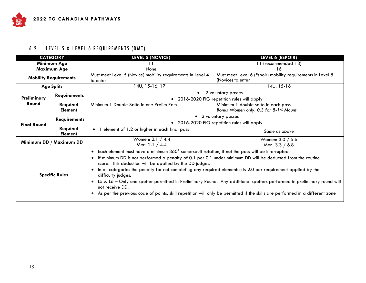# 6.2 LEVEL 5 & LEVEL 6 REQUIREMENTS (DMT)

| <b>CATEGORY</b>              |                            | <b>LEVEL 5 (NOVICE)</b>                                                                                                                                                                                                                                                                                                                                                                                                                                                                              | LEVEL 6 (ESPOIR)                                                                                                                                                                                                                                      |  |
|------------------------------|----------------------------|------------------------------------------------------------------------------------------------------------------------------------------------------------------------------------------------------------------------------------------------------------------------------------------------------------------------------------------------------------------------------------------------------------------------------------------------------------------------------------------------------|-------------------------------------------------------------------------------------------------------------------------------------------------------------------------------------------------------------------------------------------------------|--|
| Minimum Age                  |                            |                                                                                                                                                                                                                                                                                                                                                                                                                                                                                                      | 11 (recommended 13)                                                                                                                                                                                                                                   |  |
|                              | Maximum Age                | None                                                                                                                                                                                                                                                                                                                                                                                                                                                                                                 | 16                                                                                                                                                                                                                                                    |  |
| <b>Mobility Requirements</b> |                            | Must meet Level 5 (Novice) mobility requirements in Level 4<br>to enter                                                                                                                                                                                                                                                                                                                                                                                                                              | Must meet Level 6 (Espoir) mobility requirements in Level 5<br>(Novice) to enter                                                                                                                                                                      |  |
|                              | <b>Age Splits</b>          | 14U, 15-16, 17+                                                                                                                                                                                                                                                                                                                                                                                                                                                                                      | 14U, 15-16                                                                                                                                                                                                                                            |  |
| Preliminary                  | <b>Requirements</b>        | $\bullet$                                                                                                                                                                                                                                                                                                                                                                                                                                                                                            | 2 voluntary passes<br>2016-2020 FIG repetition rules will apply                                                                                                                                                                                       |  |
| Round                        | Required<br><b>Element</b> | Minimum 1 Double Salto in one Prelim Pass                                                                                                                                                                                                                                                                                                                                                                                                                                                            | Minimum 1 double salto in each pass<br>Bonus Women only: 0.3 for 8-1 < Mount                                                                                                                                                                          |  |
| <b>Final Round</b>           | <b>Requirements</b>        | • 2 voluntary passes<br>2016-2020 FIG repetition rules will apply                                                                                                                                                                                                                                                                                                                                                                                                                                    |                                                                                                                                                                                                                                                       |  |
|                              | Required<br><b>Element</b> | • 1 element of 1.2 or higher in each final pass                                                                                                                                                                                                                                                                                                                                                                                                                                                      | Same as above                                                                                                                                                                                                                                         |  |
| Minimum DD / Maximum DD      |                            | Women: 2.1 / 4.4<br>Men: 2.1 / 4.4                                                                                                                                                                                                                                                                                                                                                                                                                                                                   | Women: 3.0 / 5.6<br>Men: 3.3 / 6.8                                                                                                                                                                                                                    |  |
| <b>Specific Rules</b>        |                            | Each element must have a minimum 360° somersault rotation, if not the pass will be interrupted.<br>$\bullet$<br>If minimum DD is not performed a penalty of 0.1 per 0.1 under minimum DD will be deducted from the routine<br>$\bullet$<br>score. This deduction will be applied by the DD judges.<br>In all categories the penalty for not completing any required element(s) is 2.0 per requirement applied by the<br>$\bullet$<br>difficulty judges.<br>$\bullet$<br>not receive DD.<br>$\bullet$ | L5 & L6 – Only one spotter permitted in Preliminary Round. Any additional spotters performed in preliminary round will<br>As per the previous code of points, skill repetition will only be permitted if the skills are performed in a different zone |  |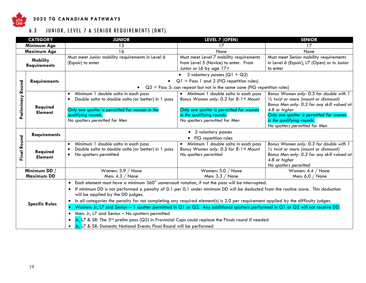

#### **202 2 T G C A N A D I A N P A T H W A Y S**

6.3 JUNIOR, LEVEL 7 & SENIOR REQUIREMENTS (DMT)

|                                        | <b>CATEGORY</b>                   | <b>JUNIOR</b>                                                                                                                                                                                                                                                                                                                                                                                                                                                                                                                                                                                                                                                                                                                                                                                                        | <b>LEVEL 7 (OPEN)</b>                                                                                                                                                                  | <b>SENIOR</b>                                                                                                                                                                                                                                                       |  |  |  |
|----------------------------------------|-----------------------------------|----------------------------------------------------------------------------------------------------------------------------------------------------------------------------------------------------------------------------------------------------------------------------------------------------------------------------------------------------------------------------------------------------------------------------------------------------------------------------------------------------------------------------------------------------------------------------------------------------------------------------------------------------------------------------------------------------------------------------------------------------------------------------------------------------------------------|----------------------------------------------------------------------------------------------------------------------------------------------------------------------------------------|---------------------------------------------------------------------------------------------------------------------------------------------------------------------------------------------------------------------------------------------------------------------|--|--|--|
|                                        | Minimum Age                       | 13                                                                                                                                                                                                                                                                                                                                                                                                                                                                                                                                                                                                                                                                                                                                                                                                                   | 17                                                                                                                                                                                     | 17                                                                                                                                                                                                                                                                  |  |  |  |
|                                        | <b>Maximum Age</b>                | 16                                                                                                                                                                                                                                                                                                                                                                                                                                                                                                                                                                                                                                                                                                                                                                                                                   | None                                                                                                                                                                                   | None                                                                                                                                                                                                                                                                |  |  |  |
| <b>Mobility</b><br><b>Requirements</b> |                                   | Must meet Junior mobility requirements in Level 6<br>(Espoir) to enter                                                                                                                                                                                                                                                                                                                                                                                                                                                                                                                                                                                                                                                                                                                                               | Must meet Level 7 mobility requirements<br>from Level 5 (Novice) to enter. From<br>Junior or L6 by age 17+                                                                             | Must meet Senior mobility requirements<br>in Level 6 (Espoir), L7 (Open) or in Junior<br>to enter                                                                                                                                                                   |  |  |  |
|                                        |                                   |                                                                                                                                                                                                                                                                                                                                                                                                                                                                                                                                                                                                                                                                                                                                                                                                                      | 3 voluntary passes ( $Q1 + Q2$ )                                                                                                                                                       |                                                                                                                                                                                                                                                                     |  |  |  |
|                                        | <b>Requirements</b>               |                                                                                                                                                                                                                                                                                                                                                                                                                                                                                                                                                                                                                                                                                                                                                                                                                      | $Q1$ = Pass 1 and 2 (FIG repetition rules)                                                                                                                                             |                                                                                                                                                                                                                                                                     |  |  |  |
|                                        |                                   |                                                                                                                                                                                                                                                                                                                                                                                                                                                                                                                                                                                                                                                                                                                                                                                                                      | • $Q2 = P$ ass 3: can repeat but not in the same zone (FIG repetition rules)                                                                                                           |                                                                                                                                                                                                                                                                     |  |  |  |
| Preliminary Round                      | Required<br><b>Element</b>        | Minimum 1 double salto in each pass<br>$\bullet$<br>Double salto to double salto (or better) in 1 pass<br>$\bullet$<br>Only one spotter is permitted for women in the<br>qualifying rounds.<br>No spotters permitted for Men                                                                                                                                                                                                                                                                                                                                                                                                                                                                                                                                                                                         | • Minimum 1 double salto in each pass<br>Bonus Women only: 0.3 for 8-1< Mount<br>Only one spotter is permitted for women<br>in the qualifying rounds.<br>No spotters permitted for Men | Bonus Women only: 0.3 for double with 1<br>$\frac{1}{2}$ twist or more (mount or dismount)<br>Bonus Men only: 0.3 for any skill valued at<br>4.8 or higher<br>Only one spotter is permitted for women<br>in the qualifying rounds.<br>No spotters permitted for Men |  |  |  |
|                                        | <b>Requirements</b>               |                                                                                                                                                                                                                                                                                                                                                                                                                                                                                                                                                                                                                                                                                                                                                                                                                      | • 2 voluntary passes                                                                                                                                                                   |                                                                                                                                                                                                                                                                     |  |  |  |
| Final Round                            | Required<br><b>Element</b>        | Minimum 1 double salto in each pass<br>$\bullet$<br>Double salto to double salto (or better) in 1 pass<br>$\bullet$<br>No spotters permitted<br>$\bullet$                                                                                                                                                                                                                                                                                                                                                                                                                                                                                                                                                                                                                                                            | • FIG repetition rules<br>Minimum 1 double salto in each pass<br>$\bullet$<br>Bonus Women only: 0.3 for 8-1< Mount<br>No spotters permitted                                            | Bonus Women only: 0.3 for double with 1<br>$\frac{1}{2}$ twist or more (mount or dismount)<br>Bonus Men only: 0.3 for any skill valued at<br>4.8 or higher<br>No spotters permitted                                                                                 |  |  |  |
|                                        | Minimum DD /<br><b>Maximum DD</b> | Women: 3.9 / None<br>Men: $4.3 /$ None                                                                                                                                                                                                                                                                                                                                                                                                                                                                                                                                                                                                                                                                                                                                                                               | Women: 3.0 / None<br>Men: 3.3 / None                                                                                                                                                   | Women: $4.4 /$ None<br>Men: $6.0 /$ None                                                                                                                                                                                                                            |  |  |  |
|                                        | <b>Specific Rules</b>             | Each element must have a minimum 360° somersault rotation, if not the pass will be interrupted.<br>If minimum DD is not performed a penalty of 0.1 per 0.1 under minimum DD will be deducted from the routine score. This deduction<br>will be applied by the DD judges.<br>In all categories the penalty for not completing any required element(s) is 2.0 per requirement applied by the difficulty judges.<br>Women: Jr, L7 and Senior - 1 spotter permitted in Q1 or Q2. Any additional spotters performed in Q1 or Q2 will not receive DD.<br>Men: Jr, L7 and Senior - No spotters permitted<br>$\bullet$<br>Jr, L7 & SR: The 3 <sup>rd</sup> prelim pass (Q2) in Provincial Cups could replace the Finals round if needed<br>Jr, L7 & SR: Domestic National Events: Final Round will be performed<br>$\bullet$ |                                                                                                                                                                                        |                                                                                                                                                                                                                                                                     |  |  |  |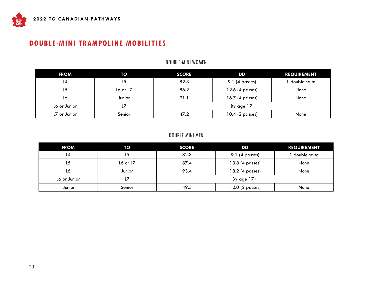# **DOUBLE-MINI TRAMPOLINE MOBILITIES**

#### DOUBLE-MINI WOMEN

| <b>FROM</b>  | TO       | <b>SCORE</b> | DD                       | <b>REQUIREMENT</b> |
|--------------|----------|--------------|--------------------------|--------------------|
| L4           | L5       | 82.3         | $9.1$ (4 passes)         | double salto       |
| L5           | L6 or L7 | 86.2         | $12.6(4 \text{ passes})$ | None               |
| L6           | Junior   | 91.1         | 16.7 (4 passes)          | None               |
| L6 or Junior | L        |              | By age $17+$             |                    |
| L7 or Junior | Senior   | 47.2         | 10.4 (2 passes)          | None               |

#### DOUBLE-MINI MEN

<span id="page-20-0"></span>

| <b>FROM</b>  | TO         | <b>SCORE</b> | DD              | <b>REQUIREMENT</b> |
|--------------|------------|--------------|-----------------|--------------------|
| L4           | L5         | 82.3         | 9.1 (4 passes)  | double salto       |
| L5           | L6 or $L7$ | 87.4         | 13.8 (4 passes) | None               |
| L6           | Junior     | 93.4         | 18.2 (4 passes) | None               |
| L6 or Junior | L          |              | By age $17+$    |                    |
| Junior       | Senior     | 49.3         | 12.0 (2 passes) | None               |